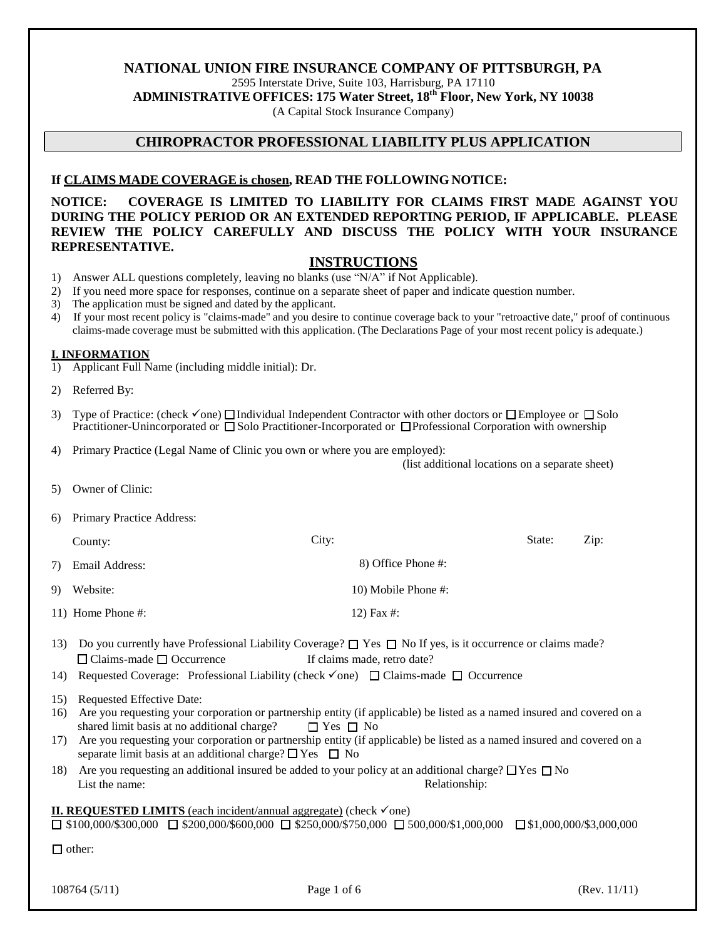# **NATIONAL UNION FIRE INSURANCE COMPANY OF PITTSBURGH, PA**

2595 Interstate Drive, Suite 103, Harrisburg, PA 17110

**ADMINISTRATIVE OFFICES: 175 Water Street, 18th Floor, New York, NY 10038**

(A Capital Stock Insurance Company)

# **CHIROPRACTOR PROFESSIONAL LIABILITY PLUS APPLICATION**

## **If CLAIMS MADE COVERAGE is chosen, READ THE FOLLOWING NOTICE:**

**NOTICE: COVERAGE IS LIMITED TO LIABILITY FOR CLAIMS FIRST MADE AGAINST YOU DURING THE POLICY PERIOD OR AN EXTENDED REPORTING PERIOD, IF APPLICABLE. PLEASE REVIEW THE POLICY CAREFULLY AND DISCUSS THE POLICY WITH YOUR INSURANCE REPRESENTATIVE.**

### **INSTRUCTIONS**

- 1) Answer ALL questions completely, leaving no blanks (use "N/A" if Not Applicable).
- 2) If you need more space for responses, continue on a separate sheet of paper and indicate question number.
- 3) The application must be signed and dated by the applicant.
- 4) If your most recent policy is "claims-made" and you desire to continue coverage back to your "retroactive date," proof of continuous claims-made coverage must be submitted with this application. (The Declarations Page of your most recent policy is adequate.)

#### **I. INFORMATION**

- 1) Applicant Full Name (including middle initial): Dr.
- 2) Referred By:
- 3) Type of Practice: (check  $\checkmark$  one)  $\Box$  Individual Independent Contractor with other doctors or  $\Box$  Employee or  $\Box$  Solo Practitioner-Unincorporated or  $\Box$  Solo Practitioner-Incorporated or  $\Box$  Professional Corporation with ownership
- 4) Primary Practice (Legal Name of Clinic you own or where you are employed):

(list additional locations on a separate sheet)

- 5) Owner of Clinic:
- 6) Primary Practice Address:

| County:           | City:               |            | State: | Zip: |
|-------------------|---------------------|------------|--------|------|
| 7) Email Address: | 8) Office Phone #:  |            |        |      |
| 9) Website:       | 10) Mobile Phone #: |            |        |      |
| 11) Home Phone #: |                     | 12) Fax #: |        |      |

- 13) Do you currently have Professional Liability Coverage?  $\Box$  Yes  $\Box$  No If yes, is it occurrence or claims made? □ Claims-made □ Occurrence If claims made, retro date?
- 14) Requested Coverage: Professional Liability (check  $\checkmark$  one)  $\Box$  Claims-made  $\Box$  Occurrence
- 15) Requested Effective Date:
- 16) Are you requesting your corporation or partnership entity (if applicable) be listed as a named insured and covered on a shared limit basis at no additional charge?  $\Box$  Yes  $\Box$  No
- 17) Are you requesting your corporation or partnership entity (if applicable) be listed as a named insured and covered on a separate limit basis at an additional charge?  $\Box$  Yes  $\Box$  No
- 18) Are you requesting an additional insured be added to your policy at an additional charge?  $\Box$  Yes  $\Box$  No List the name: Relationship: Relationship:

#### **II. REQUESTED LIMITS** (each incident/annual aggregate) (check  $\checkmark$  one)  $\Box$  \$100,000/\$300,000  $\Box$  \$200,000/\$600,000  $\Box$  \$250,000/\$750,000  $\Box$  500,000/\$1,000,000  $\Box$  \$1,000,000/\$3,000,000

□ other:

108764 (5/11) Page 1 of 6 (Rev. 11/11)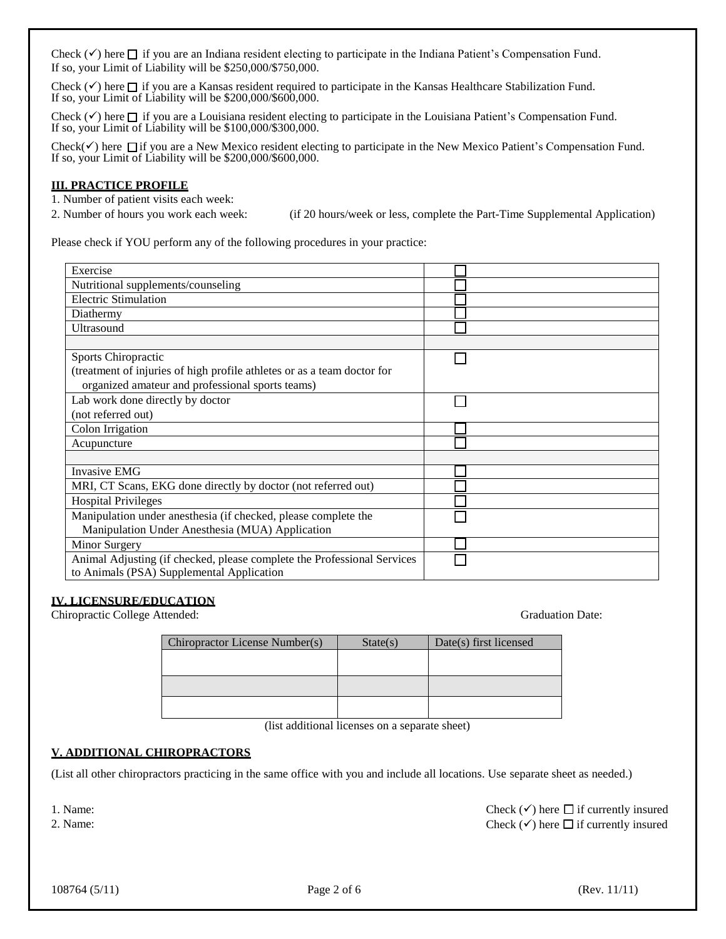Check  $(\checkmark)$  here  $\Box$  if you are an Indiana resident electing to participate in the Indiana Patient's Compensation Fund. If so, your Limit of Liability will be \$250,000/\$750,000.

Check  $(\checkmark)$  here  $\Box$  if you are a Kansas resident required to participate in the Kansas Healthcare Stabilization Fund. If so, your Limit of Liability will be \$200,000/\$600,000.

Check  $(\checkmark)$  here  $\Box$  if you are a Louisiana resident electing to participate in the Louisiana Patient's Compensation Fund. If so, your Limit of Liability will be \$100,000/\$300,000.

Check( $\checkmark$ ) here  $\Box$  if you are a New Mexico resident electing to participate in the New Mexico Patient's Compensation Fund. If so, your Limit of Liability will be \$200,000/\$600,000.

#### **III. PRACTICE PROFILE**

1. Number of patient visits each week:

2. Number of hours you work each week: (if 20 hours/week or less, complete the Part-Time Supplemental Application)

Please check if YOU perform any of the following procedures in your practice:

| Exercise                                                                |  |
|-------------------------------------------------------------------------|--|
| Nutritional supplements/counseling                                      |  |
| <b>Electric Stimulation</b>                                             |  |
| Diathermy                                                               |  |
| Ultrasound                                                              |  |
|                                                                         |  |
| Sports Chiropractic                                                     |  |
| (treatment of injuries of high profile athletes or as a team doctor for |  |
| organized amateur and professional sports teams)                        |  |
| Lab work done directly by doctor                                        |  |
| (not referred out)                                                      |  |
| Colon Irrigation                                                        |  |
| Acupuncture                                                             |  |
|                                                                         |  |
| <b>Invasive EMG</b>                                                     |  |
| MRI, CT Scans, EKG done directly by doctor (not referred out)           |  |
| <b>Hospital Privileges</b>                                              |  |
| Manipulation under anesthesia (if checked, please complete the          |  |
| Manipulation Under Anesthesia (MUA) Application                         |  |
| Minor Surgery                                                           |  |
| Animal Adjusting (if checked, please complete the Professional Services |  |
| to Animals (PSA) Supplemental Application                               |  |

#### **IV. LICENSURE/EDUCATION**

Chiropractic College Attended: Graduation Date:

| Chiropractor License Number(s) | State(s) | Date(s) first licensed |
|--------------------------------|----------|------------------------|
|                                |          |                        |
|                                |          |                        |
|                                |          |                        |
|                                |          |                        |
|                                |          |                        |

(list additional licenses on a separate sheet)

#### **V. ADDITIONAL CHIROPRACTORS**

(List all other chiropractors practicing in the same office with you and include all locations. Use separate sheet as needed.)

1. Name:

2. Name:

Check  $(\checkmark)$  here  $\Box$  if currently insured Check  $(\checkmark)$  here  $\Box$  if currently insured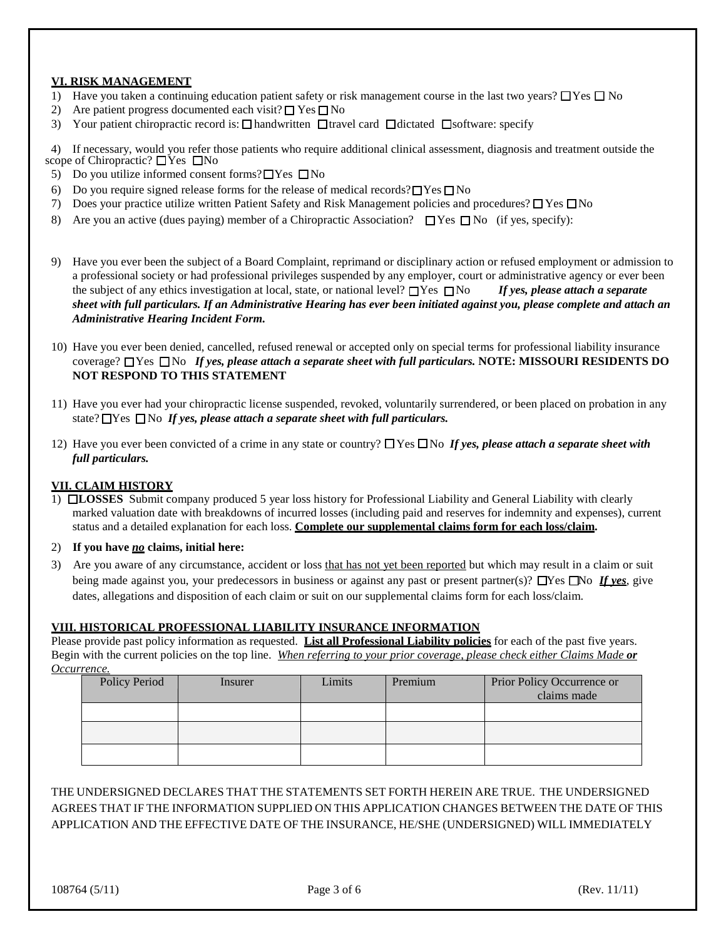### **VI. RISK MANAGEMENT**

- 1) Have you taken a continuing education patient safety or risk management course in the last two years?  $\Box$  Yes  $\Box$  No
- 2) Are patient progress documented each visit?  $\Box$  Yes  $\Box$  No
- 3) Your patient chiropractic record is:  $\Box$  handwritten  $\Box$  travel card  $\Box$  dictated  $\Box$  software: specify

 4) If necessary, would you refer those patients who require additional clinical assessment, diagnosis and treatment outside the scope of Chiropractic?  $\Box$  Yes  $\Box$  No

- 5) Do you utilize informed consent forms?  $\Box$  Yes  $\Box$  No
- 6) Do you require signed release forms for the release of medical records?  $\Box$  Yes  $\Box$  No
- 7) Does your practice utilize written Patient Safety and Risk Management policies and procedures?  $\Box$  Yes  $\Box$  No
- 8) Are you an active (dues paying) member of a Chiropractic Association?  $\Box$  Yes  $\Box$  No (if yes, specify):
- 9) Have you ever been the subject of a Board Complaint, reprimand or disciplinary action or refused employment or admission to a professional society or had professional privileges suspended by any employer, court or administrative agency or ever been the subject of any ethics investigation at local, state, or national level?  $\Box$  Yes  $\Box$  No *If yes, please attach a separate sheet with full particulars. If an Administrative Hearing has ever been initiated against you, please complete and attach an Administrative Hearing Incident Form.*
- 10) Have you ever been denied, cancelled, refused renewal or accepted only on special terms for professional liability insurance coverage? **The The** *If yes, please attach a separate sheet with full particulars.* **<b>NOTE: MISSOURI RESIDENTS DO NOT RESPOND TO THIS STATEMENT**
- 11) Have you ever had your chiropractic license suspended, revoked, voluntarily surrendered, or been placed on probation in any state?  $\Box$  Yes  $\Box$  No *If yes, please attach a separate sheet with full particulars.*
- 12) Have you ever been convicted of a crime in any state or country?  $\Box$  Yes  $\Box$  No If yes, please attach a separate sheet with *full particulars.*

#### **VII. CLAIM HISTORY**

1) **LOSSES** Submit company produced 5 year loss history for Professional Liability and General Liability with clearly marked valuation date with breakdowns of incurred losses (including paid and reserves for indemnity and expenses), current status and a detailed explanation for each loss. **Complete our supplemental claims form for each loss/claim.**

#### 2) **If you have** *no* **claims, initial here:**

3) Are you aware of any circumstance, accident or loss that has not yet been reported but which may result in a claim or suit being made against you, your predecessors in business or against any past or present partner(s)?  $\Box$ Yes  $\Box$ No *If yes*, give dates, allegations and disposition of each claim or suit on our supplemental claims form for each loss/claim.

#### **VIII. HISTORICAL PROFESSIONAL LIABILITY INSURANCE INFORMATION**

Please provide past policy information as requested. **List all Professional Liability policies** for each of the past five years. Begin with the current policies on the top line. *When referring to your prior coverage, please check either Claims Made or Occurrence.*

| Prior Policy Occurrence or<br>claims made |
|-------------------------------------------|
|                                           |
|                                           |
|                                           |
|                                           |

# THE UNDERSIGNED DECLARES THAT THE STATEMENTS SET FORTH HEREIN ARE TRUE. THE UNDERSIGNED AGREES THAT IF THE INFORMATION SUPPLIED ON THIS APPLICATION CHANGES BETWEEN THE DATE OF THIS APPLICATION AND THE EFFECTIVE DATE OF THE INSURANCE, HE/SHE (UNDERSIGNED) WILL IMMEDIATELY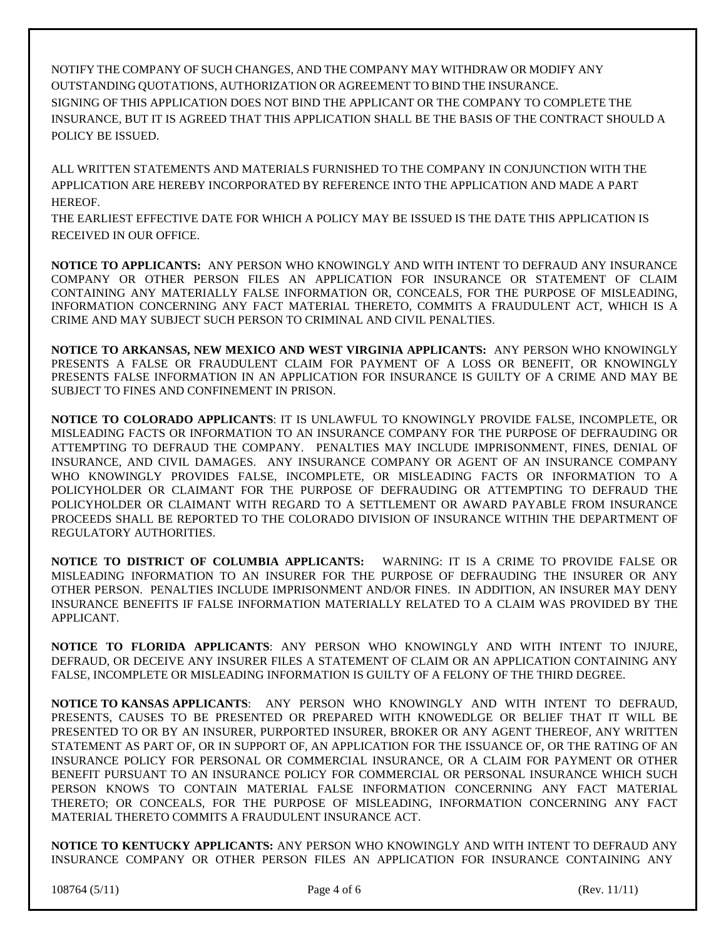NOTIFY THE COMPANY OF SUCH CHANGES, AND THE COMPANY MAY WITHDRAW OR MODIFY ANY OUTSTANDING QUOTATIONS, AUTHORIZATION OR AGREEMENT TO BIND THE INSURANCE. SIGNING OF THIS APPLICATION DOES NOT BIND THE APPLICANT OR THE COMPANY TO COMPLETE THE INSURANCE, BUT IT IS AGREED THAT THIS APPLICATION SHALL BE THE BASIS OF THE CONTRACT SHOULD A POLICY BE ISSUED.

ALL WRITTEN STATEMENTS AND MATERIALS FURNISHED TO THE COMPANY IN CONJUNCTION WITH THE APPLICATION ARE HEREBY INCORPORATED BY REFERENCE INTO THE APPLICATION AND MADE A PART HEREOF.

THE EARLIEST EFFECTIVE DATE FOR WHICH A POLICY MAY BE ISSUED IS THE DATE THIS APPLICATION IS RECEIVED IN OUR OFFICE.

**NOTICE TO APPLICANTS:** ANY PERSON WHO KNOWINGLY AND WITH INTENT TO DEFRAUD ANY INSURANCE COMPANY OR OTHER PERSON FILES AN APPLICATION FOR INSURANCE OR STATEMENT OF CLAIM CONTAINING ANY MATERIALLY FALSE INFORMATION OR, CONCEALS, FOR THE PURPOSE OF MISLEADING, INFORMATION CONCERNING ANY FACT MATERIAL THERETO, COMMITS A FRAUDULENT ACT, WHICH IS A CRIME AND MAY SUBJECT SUCH PERSON TO CRIMINAL AND CIVIL PENALTIES.

**NOTICE TO ARKANSAS, NEW MEXICO AND WEST VIRGINIA APPLICANTS:** ANY PERSON WHO KNOWINGLY PRESENTS A FALSE OR FRAUDULENT CLAIM FOR PAYMENT OF A LOSS OR BENEFIT, OR KNOWINGLY PRESENTS FALSE INFORMATION IN AN APPLICATION FOR INSURANCE IS GUILTY OF A CRIME AND MAY BE SUBJECT TO FINES AND CONFINEMENT IN PRISON.

**NOTICE TO COLORADO APPLICANTS**: IT IS UNLAWFUL TO KNOWINGLY PROVIDE FALSE, INCOMPLETE, OR MISLEADING FACTS OR INFORMATION TO AN INSURANCE COMPANY FOR THE PURPOSE OF DEFRAUDING OR ATTEMPTING TO DEFRAUD THE COMPANY. PENALTIES MAY INCLUDE IMPRISONMENT, FINES, DENIAL OF INSURANCE, AND CIVIL DAMAGES. ANY INSURANCE COMPANY OR AGENT OF AN INSURANCE COMPANY WHO KNOWINGLY PROVIDES FALSE, INCOMPLETE, OR MISLEADING FACTS OR INFORMATION TO A POLICYHOLDER OR CLAIMANT FOR THE PURPOSE OF DEFRAUDING OR ATTEMPTING TO DEFRAUD THE POLICYHOLDER OR CLAIMANT WITH REGARD TO A SETTLEMENT OR AWARD PAYABLE FROM INSURANCE PROCEEDS SHALL BE REPORTED TO THE COLORADO DIVISION OF INSURANCE WITHIN THE DEPARTMENT OF REGULATORY AUTHORITIES.

**NOTICE TO DISTRICT OF COLUMBIA APPLICANTS:** WARNING: IT IS A CRIME TO PROVIDE FALSE OR MISLEADING INFORMATION TO AN INSURER FOR THE PURPOSE OF DEFRAUDING THE INSURER OR ANY OTHER PERSON. PENALTIES INCLUDE IMPRISONMENT AND/OR FINES. IN ADDITION, AN INSURER MAY DENY INSURANCE BENEFITS IF FALSE INFORMATION MATERIALLY RELATED TO A CLAIM WAS PROVIDED BY THE APPLICANT.

**NOTICE TO FLORIDA APPLICANTS**: ANY PERSON WHO KNOWINGLY AND WITH INTENT TO INJURE, DEFRAUD, OR DECEIVE ANY INSURER FILES A STATEMENT OF CLAIM OR AN APPLICATION CONTAINING ANY FALSE, INCOMPLETE OR MISLEADING INFORMATION IS GUILTY OF A FELONY OF THE THIRD DEGREE.

**NOTICE TO KANSAS APPLICANTS**: ANY PERSON WHO KNOWINGLY AND WITH INTENT TO DEFRAUD, PRESENTS, CAUSES TO BE PRESENTED OR PREPARED WITH KNOWEDLGE OR BELIEF THAT IT WILL BE PRESENTED TO OR BY AN INSURER, PURPORTED INSURER, BROKER OR ANY AGENT THEREOF, ANY WRITTEN STATEMENT AS PART OF, OR IN SUPPORT OF, AN APPLICATION FOR THE ISSUANCE OF, OR THE RATING OF AN INSURANCE POLICY FOR PERSONAL OR COMMERCIAL INSURANCE, OR A CLAIM FOR PAYMENT OR OTHER BENEFIT PURSUANT TO AN INSURANCE POLICY FOR COMMERCIAL OR PERSONAL INSURANCE WHICH SUCH PERSON KNOWS TO CONTAIN MATERIAL FALSE INFORMATION CONCERNING ANY FACT MATERIAL THERETO; OR CONCEALS, FOR THE PURPOSE OF MISLEADING, INFORMATION CONCERNING ANY FACT MATERIAL THERETO COMMITS A FRAUDULENT INSURANCE ACT.

**NOTICE TO KENTUCKY APPLICANTS:** ANY PERSON WHO KNOWINGLY AND WITH INTENT TO DEFRAUD ANY INSURANCE COMPANY OR OTHER PERSON FILES AN APPLICATION FOR INSURANCE CONTAINING ANY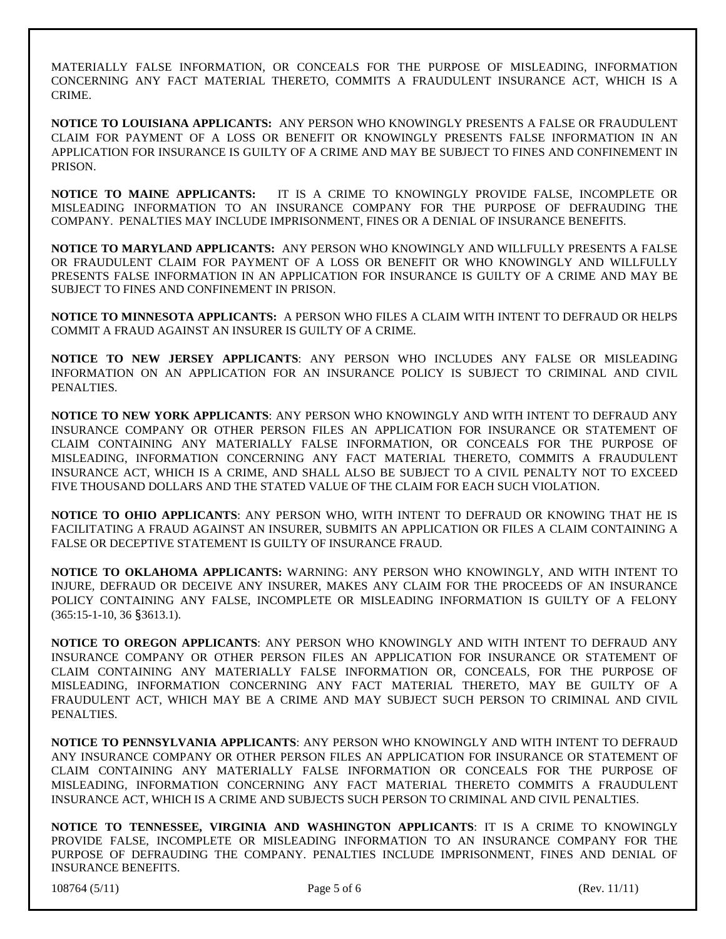MATERIALLY FALSE INFORMATION, OR CONCEALS FOR THE PURPOSE OF MISLEADING, INFORMATION CONCERNING ANY FACT MATERIAL THERETO, COMMITS A FRAUDULENT INSURANCE ACT, WHICH IS A CRIME.

**NOTICE TO LOUISIANA APPLICANTS:** ANY PERSON WHO KNOWINGLY PRESENTS A FALSE OR FRAUDULENT CLAIM FOR PAYMENT OF A LOSS OR BENEFIT OR KNOWINGLY PRESENTS FALSE INFORMATION IN AN APPLICATION FOR INSURANCE IS GUILTY OF A CRIME AND MAY BE SUBJECT TO FINES AND CONFINEMENT IN PRISON.

**NOTICE TO MAINE APPLICANTS:** IT IS A CRIME TO KNOWINGLY PROVIDE FALSE, INCOMPLETE OR MISLEADING INFORMATION TO AN INSURANCE COMPANY FOR THE PURPOSE OF DEFRAUDING THE COMPANY. PENALTIES MAY INCLUDE IMPRISONMENT, FINES OR A DENIAL OF INSURANCE BENEFITS.

**NOTICE TO MARYLAND APPLICANTS:** ANY PERSON WHO KNOWINGLY AND WILLFULLY PRESENTS A FALSE OR FRAUDULENT CLAIM FOR PAYMENT OF A LOSS OR BENEFIT OR WHO KNOWINGLY AND WILLFULLY PRESENTS FALSE INFORMATION IN AN APPLICATION FOR INSURANCE IS GUILTY OF A CRIME AND MAY BE SUBJECT TO FINES AND CONFINEMENT IN PRISON.

**NOTICE TO MINNESOTA APPLICANTS:** A PERSON WHO FILES A CLAIM WITH INTENT TO DEFRAUD OR HELPS COMMIT A FRAUD AGAINST AN INSURER IS GUILTY OF A CRIME.

**NOTICE TO NEW JERSEY APPLICANTS**: ANY PERSON WHO INCLUDES ANY FALSE OR MISLEADING INFORMATION ON AN APPLICATION FOR AN INSURANCE POLICY IS SUBJECT TO CRIMINAL AND CIVIL PENALTIES.

**NOTICE TO NEW YORK APPLICANTS**: ANY PERSON WHO KNOWINGLY AND WITH INTENT TO DEFRAUD ANY INSURANCE COMPANY OR OTHER PERSON FILES AN APPLICATION FOR INSURANCE OR STATEMENT OF CLAIM CONTAINING ANY MATERIALLY FALSE INFORMATION, OR CONCEALS FOR THE PURPOSE OF MISLEADING, INFORMATION CONCERNING ANY FACT MATERIAL THERETO, COMMITS A FRAUDULENT INSURANCE ACT, WHICH IS A CRIME, AND SHALL ALSO BE SUBJECT TO A CIVIL PENALTY NOT TO EXCEED FIVE THOUSAND DOLLARS AND THE STATED VALUE OF THE CLAIM FOR EACH SUCH VIOLATION.

**NOTICE TO OHIO APPLICANTS**: ANY PERSON WHO, WITH INTENT TO DEFRAUD OR KNOWING THAT HE IS FACILITATING A FRAUD AGAINST AN INSURER, SUBMITS AN APPLICATION OR FILES A CLAIM CONTAINING A FALSE OR DECEPTIVE STATEMENT IS GUILTY OF INSURANCE FRAUD.

**NOTICE TO OKLAHOMA APPLICANTS:** WARNING: ANY PERSON WHO KNOWINGLY, AND WITH INTENT TO INJURE, DEFRAUD OR DECEIVE ANY INSURER, MAKES ANY CLAIM FOR THE PROCEEDS OF AN INSURANCE POLICY CONTAINING ANY FALSE, INCOMPLETE OR MISLEADING INFORMATION IS GUILTY OF A FELONY (365:15-1-10, 36 §3613.1).

**NOTICE TO OREGON APPLICANTS**: ANY PERSON WHO KNOWINGLY AND WITH INTENT TO DEFRAUD ANY INSURANCE COMPANY OR OTHER PERSON FILES AN APPLICATION FOR INSURANCE OR STATEMENT OF CLAIM CONTAINING ANY MATERIALLY FALSE INFORMATION OR, CONCEALS, FOR THE PURPOSE OF MISLEADING, INFORMATION CONCERNING ANY FACT MATERIAL THERETO, MAY BE GUILTY OF A FRAUDULENT ACT, WHICH MAY BE A CRIME AND MAY SUBJECT SUCH PERSON TO CRIMINAL AND CIVIL PENALTIES.

**NOTICE TO PENNSYLVANIA APPLICANTS**: ANY PERSON WHO KNOWINGLY AND WITH INTENT TO DEFRAUD ANY INSURANCE COMPANY OR OTHER PERSON FILES AN APPLICATION FOR INSURANCE OR STATEMENT OF CLAIM CONTAINING ANY MATERIALLY FALSE INFORMATION OR CONCEALS FOR THE PURPOSE OF MISLEADING, INFORMATION CONCERNING ANY FACT MATERIAL THERETO COMMITS A FRAUDULENT INSURANCE ACT, WHICH IS A CRIME AND SUBJECTS SUCH PERSON TO CRIMINAL AND CIVIL PENALTIES.

**NOTICE TO TENNESSEE, VIRGINIA AND WASHINGTON APPLICANTS**: IT IS A CRIME TO KNOWINGLY PROVIDE FALSE, INCOMPLETE OR MISLEADING INFORMATION TO AN INSURANCE COMPANY FOR THE PURPOSE OF DEFRAUDING THE COMPANY. PENALTIES INCLUDE IMPRISONMENT, FINES AND DENIAL OF INSURANCE BENEFITS.

108764 (5/11) Page 5 of 6 (Rev. 11/11)